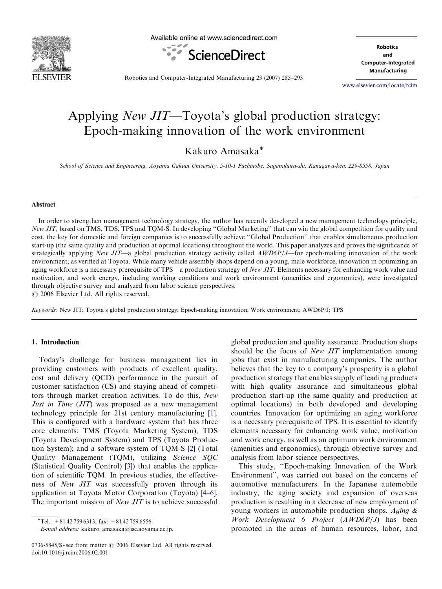

Available online at www.sciencedirect.com



**Robotics** and **Computer-Integrated** Manufacturing

Robotics and Computer-Integrated Manufacturing 23 (2007) 285–293

<www.elsevier.com/locate/rcim>

# Applying New JIT—Toyota's global production strategy: Epoch-making innovation of the work environment

Kakuro Amasaka<sup>\*</sup>

School of Science and Engineering, Aoyama Gakuin University, 5-10-1 Fuchinobe, Sagamihara-shi, Kanagawa-ken, 229-8558, Japan

#### Abstract

In order to strengthen management technology strategy, the author has recently developed a new management technology principle, New JIT, based on TMS, TDS, TPS and TQM-S. In developing "Global Marketing" that can win the global competition for quality and cost, the key for domestic and foreign companies is to successfully achieve ''Global Production'' that enables simultaneous production start-up (the same quality and production at optimal locations) throughout the world. This paper analyzes and proves the significance of strategically applying New JIT—a global production strategy activity called  $AWD6P/J$ —for epoch-making innovation of the work environment, as verified at Toyota. While many vehicle assembly shops depend on a young, male workforce, innovation in optimizing an aging workforce is a necessary prerequisite of TPS—a production strategy of New JIT. Elements necessary for enhancing work value and motivation, and work energy, including working conditions and work environment (amenities and ergonomics), were investigated through objective survey and analyzed from labor science perspectives.

 $\odot$  2006 Elsevier Ltd. All rights reserved.

Keywords: New JIT; Toyota's global production strategy; Epoch-making innovation; Work environment; AWD6P/J; TPS

### 1. Introduction

Today's challenge for business management lies in providing customers with products of excellent quality, cost and delivery (QCD) performance in the pursuit of customer satisfaction (CS) and staying ahead of competitors through market creation activities. To do this, New Just in Time (JIT) was proposed as a new management technology principle for 21st century manufacturing [\[1\].](#page--1-0) This is configured with a hardware system that has three core elements: TMS (Toyota Marketing System), TDS (Toyota Development System) and TPS (Toyota Production System); and a software system of TQM-S [\[2\]](#page--1-0) (Total Quality Management (TQM), utilizing Science SQC (Statistical Quality Control) [\[3\]\)](#page--1-0) that enables the application of scientific TQM. In previous studies, the effectiveness of New JIT was successfully proven through its application at Toyota Motor Corporation (Toyota) [\[4–6\].](#page--1-0) The important mission of *New JIT* is to achieve successful

E-mail address: kakuro\_amasaka@ise.aoyama.ac.jp.

global production and quality assurance. Production shops should be the focus of *New JIT* implementation among jobs that exist in manufacturing companies. The author believes that the key to a company's prosperity is a global production strategy that enables supply of leading products with high quality assurance and simultaneous global production start-up (the same quality and production at optimal locations) in both developed and developing countries. Innovation for optimizing an aging workforce is a necessary prerequisite of TPS. It is essential to identify elements necessary for enhancing work value, motivation and work energy, as well as an optimum work environment (amenities and ergonomics), through objective survey and analysis from labor science perspectives.

This study, ''Epoch-making Innovation of the Work Environment'', was carried out based on the concerns of automotive manufacturers. In the Japanese automobile industry, the aging society and expansion of overseas production is resulting in a decrease of new employment of young workers in automobile production shops. Aging & Work Development 6 Project (AWD6P/J) has been promoted in the areas of human resources, labor, and

 $\overline{\text{F}T}$ el.: +81 42 759 6313; fax: +81 42 759 6556.

<sup>0736-5845/\$ -</sup> see front matter  $\odot$  2006 Elsevier Ltd. All rights reserved. doi:10.1016/j.rcim.2006.02.001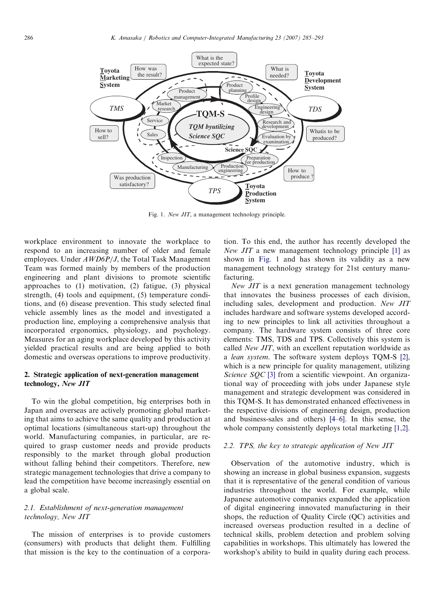

Fig. 1. New JIT, a management technology principle.

workplace environment to innovate the workplace to respond to an increasing number of older and female employees. Under AWD6P/J, the Total Task Management Team was formed mainly by members of the production engineering and plant divisions to promote scientific approaches to (1) motivation, (2) fatigue, (3) physical strength, (4) tools and equipment, (5) temperature conditions, and (6) disease prevention. This study selected final vehicle assembly lines as the model and investigated a production line, employing a comprehensive analysis that incorporated ergonomics, physiology, and psychology. Measures for an aging workplace developed by this activity yielded practical results and are being applied to both domestic and overseas operations to improve productivity.

### 2. Strategic application of next-generation management technology, New JIT

To win the global competition, big enterprises both in Japan and overseas are actively promoting global marketing that aims to achieve the same quality and production at optimal locations (simultaneous start-up) throughout the world. Manufacturing companies, in particular, are required to grasp customer needs and provide products responsibly to the market through global production without falling behind their competitors. Therefore, new strategic management technologies that drive a company to lead the competition have become increasingly essential on a global scale.

## 2.1. Establishment of next-generation management technology, New JIT

The mission of enterprises is to provide customers (consumers) with products that delight them. Fulfilling that mission is the key to the continuation of a corporation. To this end, the author has recently developed the New JIT a new management technology principle [\[1\]](#page--1-0) as shown in Fig. 1 and has shown its validity as a new management technology strategy for 21st century manufacturing.

New JIT is a next generation management technology that innovates the business processes of each division, including sales, development and production. New JIT includes hardware and software systems developed according to new principles to link all activities throughout a company. The hardware system consists of three core elements: TMS, TDS and TPS. Collectively this system is called New JIT, with an excellent reputation worldwide as a lean system. The software system deploys TQM-S [\[2\]](#page--1-0), which is a new principle for quality management, utilizing Science SOC [\[3\]](#page--1-0) from a scientific viewpoint. An organizational way of proceeding with jobs under Japanese style management and strategic development was considered in this TQM-S. It has demonstrated enhanced effectiveness in the respective divisions of engineering design, production and business-sales and others) [\[4–6\].](#page--1-0) In this sense, the whole company consistently deploys total marketing [\[1,2\].](#page--1-0)

#### 2.2. TPS, the key to strategic application of New JIT

Observation of the automotive industry, which is showing an increase in global business expansion, suggests that it is representative of the general condition of various industries throughout the world. For example, while Japanese automotive companies expanded the application of digital engineering innovated manufacturing in their shops, the reduction of Quality Circle (QC) activities and increased overseas production resulted in a decline of technical skills, problem detection and problem solving capabilities in workshops. This ultimately has lowered the workshop's ability to build in quality during each process.